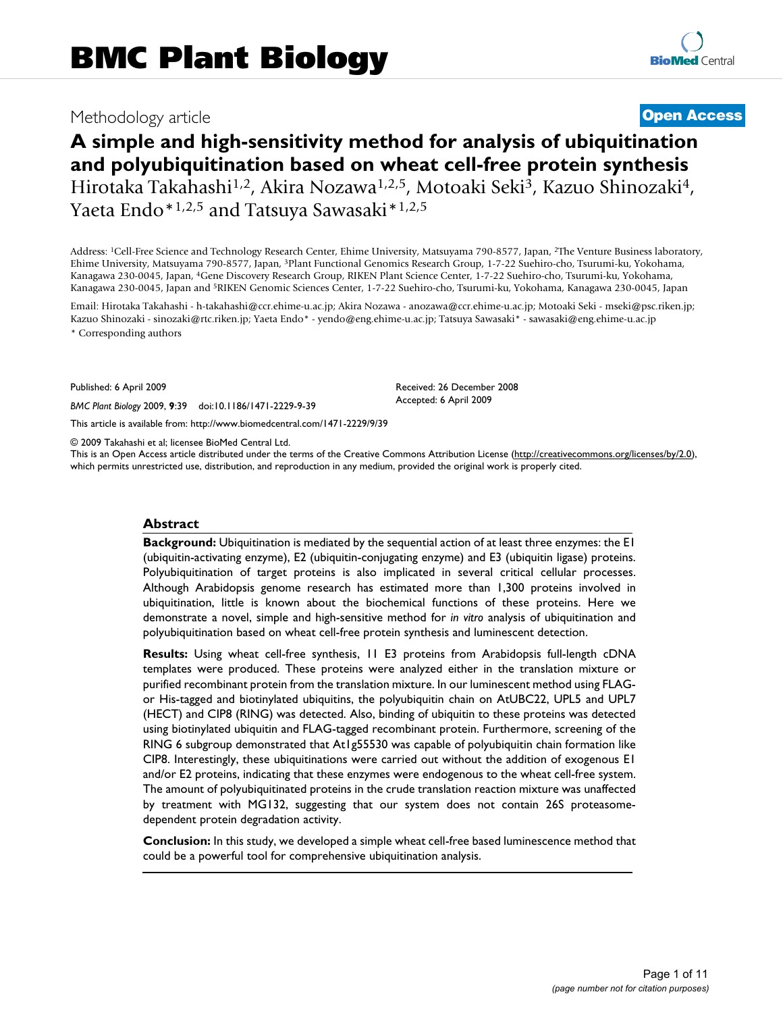# Methodology article **[Open Access](http://www.biomedcentral.com/info/about/charter/)**

# **A simple and high-sensitivity method for analysis of ubiquitination and polyubiquitination based on wheat cell-free protein synthesis** Hirotaka Takahashi<sup>1,2</sup>, Akira Nozawa<sup>1,2,5</sup>, Motoaki Seki<sup>3</sup>, Kazuo Shinozaki<sup>4</sup>, Yaeta Endo\*1,2,5 and Tatsuya Sawasaki\*1,2,5

Address: 1Cell-Free Science and Technology Research Center, Ehime University, Matsuyama 790-8577, Japan, 2The Venture Business laboratory, Ehime University, Matsuyama 790-8577, Japan, 3Plant Functional Genomics Research Group, 1-7-22 Suehiro-cho, Tsurumi-ku, Yokohama, Kanagawa 230-0045, Japan, 4Gene Discovery Research Group, RIKEN Plant Science Center, 1-7-22 Suehiro-cho, Tsurumi-ku, Yokohama, Kanagawa 230-0045, Japan and 5RIKEN Genomic Sciences Center, 1-7-22 Suehiro-cho, Tsurumi-ku, Yokohama, Kanagawa 230-0045, Japan

Email: Hirotaka Takahashi - h-takahashi@ccr.ehime-u.ac.jp; Akira Nozawa - anozawa@ccr.ehime-u.ac.jp; Motoaki Seki - mseki@psc.riken.jp; Kazuo Shinozaki - sinozaki@rtc.riken.jp; Yaeta Endo\* - yendo@eng.ehime-u.ac.jp; Tatsuya Sawasaki\* - sawasaki@eng.ehime-u.ac.jp \* Corresponding authors

> Received: 26 December 2008 Accepted: 6 April 2009

Published: 6 April 2009

*BMC Plant Biology* 2009, **9**:39 doi:10.1186/1471-2229-9-39

[This article is available from: http://www.biomedcentral.com/1471-2229/9/39](http://www.biomedcentral.com/1471-2229/9/39)

© 2009 Takahashi et al; licensee BioMed Central Ltd.

This is an Open Access article distributed under the terms of the Creative Commons Attribution License [\(http://creativecommons.org/licenses/by/2.0\)](http://creativecommons.org/licenses/by/2.0), which permits unrestricted use, distribution, and reproduction in any medium, provided the original work is properly cited.

#### **Abstract**

**Background:** Ubiquitination is mediated by the sequential action of at least three enzymes: the E1 (ubiquitin-activating enzyme), E2 (ubiquitin-conjugating enzyme) and E3 (ubiquitin ligase) proteins. Polyubiquitination of target proteins is also implicated in several critical cellular processes. Although Arabidopsis genome research has estimated more than 1,300 proteins involved in ubiquitination, little is known about the biochemical functions of these proteins. Here we demonstrate a novel, simple and high-sensitive method for *in vitro* analysis of ubiquitination and polyubiquitination based on wheat cell-free protein synthesis and luminescent detection.

**Results:** Using wheat cell-free synthesis, 11 E3 proteins from Arabidopsis full-length cDNA templates were produced. These proteins were analyzed either in the translation mixture or purified recombinant protein from the translation mixture. In our luminescent method using FLAGor His-tagged and biotinylated ubiquitins, the polyubiquitin chain on AtUBC22, UPL5 and UPL7 (HECT) and CIP8 (RING) was detected. Also, binding of ubiquitin to these proteins was detected using biotinylated ubiquitin and FLAG-tagged recombinant protein. Furthermore, screening of the RING 6 subgroup demonstrated that At1g55530 was capable of polyubiquitin chain formation like CIP8. Interestingly, these ubiquitinations were carried out without the addition of exogenous E1 and/or E2 proteins, indicating that these enzymes were endogenous to the wheat cell-free system. The amount of polyubiquitinated proteins in the crude translation reaction mixture was unaffected by treatment with MG132, suggesting that our system does not contain 26S proteasomedependent protein degradation activity.

**Conclusion:** In this study, we developed a simple wheat cell-free based luminescence method that could be a powerful tool for comprehensive ubiquitination analysis.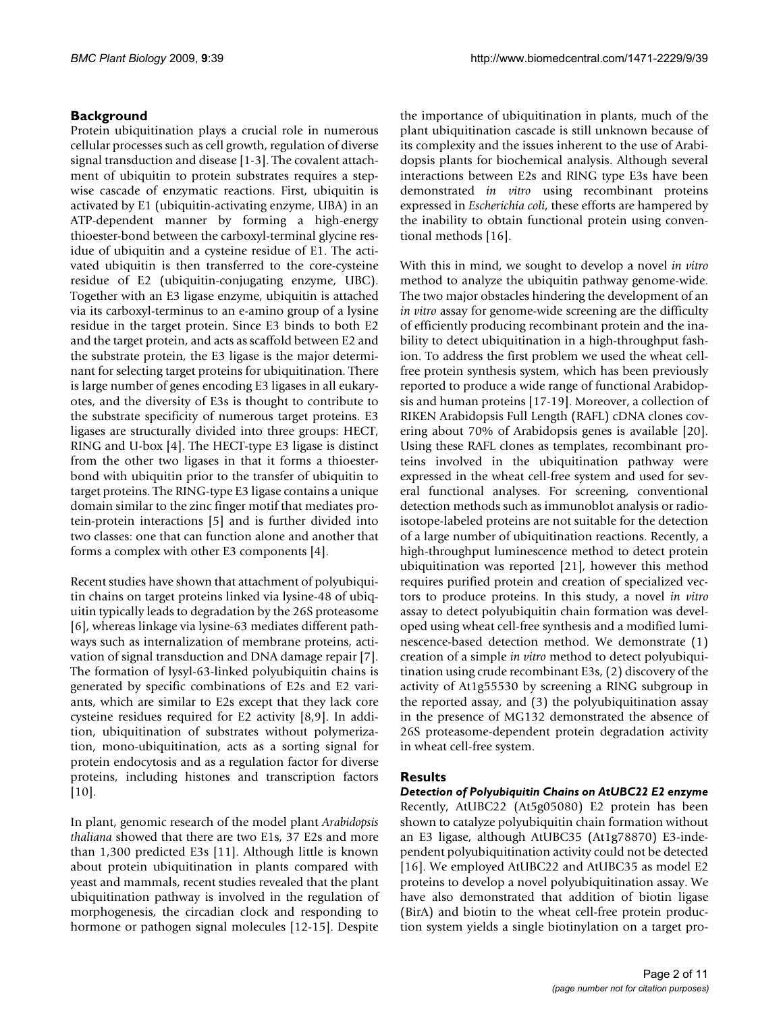### **Background**

Protein ubiquitination plays a crucial role in numerous cellular processes such as cell growth, regulation of diverse signal transduction and disease [1-3]. The covalent attachment of ubiquitin to protein substrates requires a stepwise cascade of enzymatic reactions. First, ubiquitin is activated by E1 (ubiquitin-activating enzyme, UBA) in an ATP-dependent manner by forming a high-energy thioester-bond between the carboxyl-terminal glycine residue of ubiquitin and a cysteine residue of E1. The activated ubiquitin is then transferred to the core-cysteine residue of E2 (ubiquitin-conjugating enzyme, UBC). Together with an E3 ligase enzyme, ubiquitin is attached via its carboxyl-terminus to an e-amino group of a lysine residue in the target protein. Since E3 binds to both E2 and the target protein, and acts as scaffold between E2 and the substrate protein, the E3 ligase is the major determinant for selecting target proteins for ubiquitination. There is large number of genes encoding E3 ligases in all eukaryotes, and the diversity of E3s is thought to contribute to the substrate specificity of numerous target proteins. E3 ligases are structurally divided into three groups: HECT, RING and U-box [4]. The HECT-type E3 ligase is distinct from the other two ligases in that it forms a thioesterbond with ubiquitin prior to the transfer of ubiquitin to target proteins. The RING-type E3 ligase contains a unique domain similar to the zinc finger motif that mediates protein-protein interactions [5] and is further divided into two classes: one that can function alone and another that forms a complex with other E3 components [4].

Recent studies have shown that attachment of polyubiquitin chains on target proteins linked via lysine-48 of ubiquitin typically leads to degradation by the 26S proteasome [6], whereas linkage via lysine-63 mediates different pathways such as internalization of membrane proteins, activation of signal transduction and DNA damage repair [7]. The formation of lysyl-63-linked polyubiquitin chains is generated by specific combinations of E2s and E2 variants, which are similar to E2s except that they lack core cysteine residues required for E2 activity [8,9]. In addition, ubiquitination of substrates without polymerization, mono-ubiquitination, acts as a sorting signal for protein endocytosis and as a regulation factor for diverse proteins, including histones and transcription factors  $[10]$ .

In plant, genomic research of the model plant *Arabidopsis thaliana* showed that there are two E1s, 37 E2s and more than 1,300 predicted E3s [11]. Although little is known about protein ubiquitination in plants compared with yeast and mammals, recent studies revealed that the plant ubiquitination pathway is involved in the regulation of morphogenesis, the circadian clock and responding to hormone or pathogen signal molecules [12-15]. Despite the importance of ubiquitination in plants, much of the plant ubiquitination cascade is still unknown because of its complexity and the issues inherent to the use of Arabidopsis plants for biochemical analysis. Although several interactions between E2s and RING type E3s have been demonstrated *in vitro* using recombinant proteins expressed in *Escherichia coli*, these efforts are hampered by the inability to obtain functional protein using conventional methods [16].

With this in mind, we sought to develop a novel *in vitro* method to analyze the ubiquitin pathway genome-wide. The two major obstacles hindering the development of an *in vitro* assay for genome-wide screening are the difficulty of efficiently producing recombinant protein and the inability to detect ubiquitination in a high-throughput fashion. To address the first problem we used the wheat cellfree protein synthesis system, which has been previously reported to produce a wide range of functional Arabidopsis and human proteins [17-19]. Moreover, a collection of RIKEN Arabidopsis Full Length (RAFL) cDNA clones covering about 70% of Arabidopsis genes is available [20]. Using these RAFL clones as templates, recombinant proteins involved in the ubiquitination pathway were expressed in the wheat cell-free system and used for several functional analyses. For screening, conventional detection methods such as immunoblot analysis or radioisotope-labeled proteins are not suitable for the detection of a large number of ubiquitination reactions. Recently, a high-throughput luminescence method to detect protein ubiquitination was reported [21], however this method requires purified protein and creation of specialized vectors to produce proteins. In this study, a novel *in vitro* assay to detect polyubiquitin chain formation was developed using wheat cell-free synthesis and a modified luminescence-based detection method. We demonstrate (1) creation of a simple *in vitro* method to detect polyubiquitination using crude recombinant E3s, (2) discovery of the activity of At1g55530 by screening a RING subgroup in the reported assay, and (3) the polyubiquitination assay in the presence of MG132 demonstrated the absence of 26S proteasome-dependent protein degradation activity in wheat cell-free system.

#### **Results**

*Detection of Polyubiquitin Chains on AtUBC22 E2 enzyme* Recently, AtUBC22 (At5g05080) E2 protein has been shown to catalyze polyubiquitin chain formation without an E3 ligase, although AtUBC35 (At1g78870) E3-independent polyubiquitination activity could not be detected [16]. We employed AtUBC22 and AtUBC35 as model E2 proteins to develop a novel polyubiquitination assay. We have also demonstrated that addition of biotin ligase (BirA) and biotin to the wheat cell-free protein production system yields a single biotinylation on a target pro-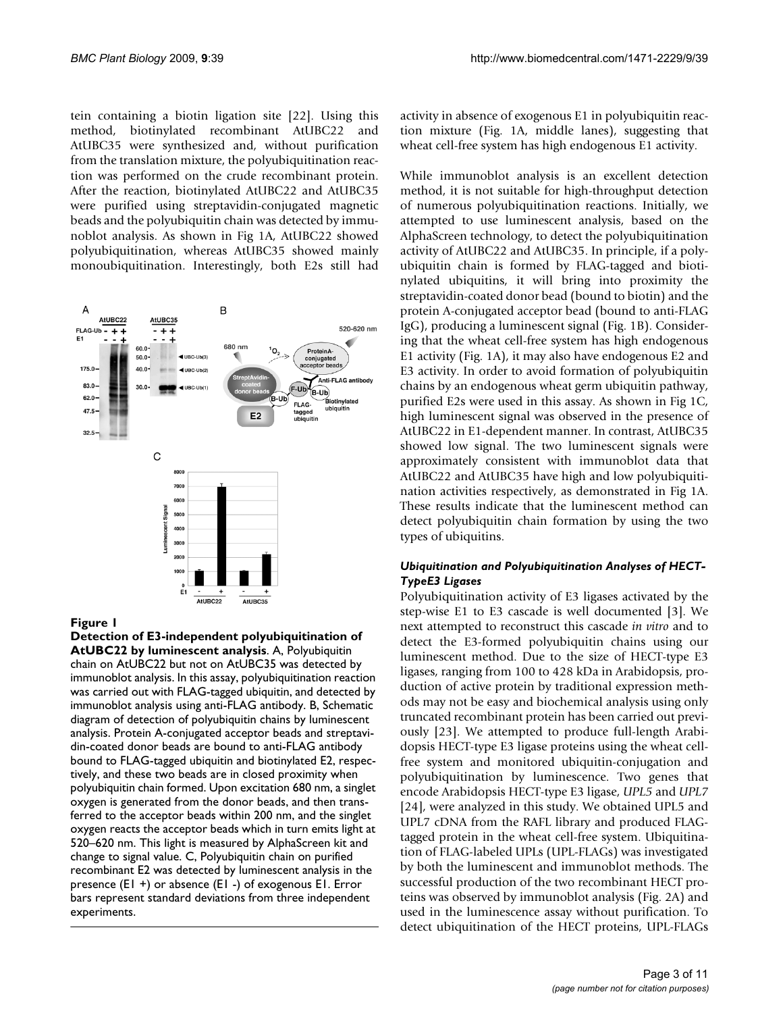tein containing a biotin ligation site [22]. Using this method, biotinylated recombinant AtUBC22 and AtUBC35 were synthesized and, without purification from the translation mixture, the polyubiquitination reaction was performed on the crude recombinant protein. After the reaction, biotinylated AtUBC22 and AtUBC35 were purified using streptavidin-conjugated magnetic beads and the polyubiquitin chain was detected by immunoblot analysis. As shown in Fig 1A, AtUBC22 showed polyubiquitination, whereas AtUBC35 showed mainly monoubiquitination. Interestingly, both E2s still had



#### Figure 1

**Detection of E3-independent polyubiquitination of AtUBC22 by luminescent analysis**. A, Polyubiquitin chain on AtUBC22 but not on AtUBC35 was detected by immunoblot analysis. In this assay, polyubiquitination reaction was carried out with FLAG-tagged ubiquitin, and detected by immunoblot analysis using anti-FLAG antibody. B, Schematic diagram of detection of polyubiquitin chains by luminescent analysis. Protein A-conjugated acceptor beads and streptavidin-coated donor beads are bound to anti-FLAG antibody bound to FLAG-tagged ubiquitin and biotinylated E2, respectively, and these two beads are in closed proximity when polyubiquitin chain formed. Upon excitation 680 nm, a singlet oxygen is generated from the donor beads, and then transferred to the acceptor beads within 200 nm, and the singlet oxygen reacts the acceptor beads which in turn emits light at 520–620 nm. This light is measured by AlphaScreen kit and change to signal value. C, Polyubiquitin chain on purified recombinant E2 was detected by luminescent analysis in the presence (E1 +) or absence (E1 -) of exogenous E1. Error bars represent standard deviations from three independent experiments.

activity in absence of exogenous E1 in polyubiquitin reaction mixture (Fig. 1A, middle lanes), suggesting that wheat cell-free system has high endogenous E1 activity.

While immunoblot analysis is an excellent detection method, it is not suitable for high-throughput detection of numerous polyubiquitination reactions. Initially, we attempted to use luminescent analysis, based on the AlphaScreen technology, to detect the polyubiquitination activity of AtUBC22 and AtUBC35. In principle, if a polyubiquitin chain is formed by FLAG-tagged and biotinylated ubiquitins, it will bring into proximity the streptavidin-coated donor bead (bound to biotin) and the protein A-conjugated acceptor bead (bound to anti-FLAG IgG), producing a luminescent signal (Fig. 1B). Considering that the wheat cell-free system has high endogenous E1 activity (Fig. 1A), it may also have endogenous E2 and E3 activity. In order to avoid formation of polyubiquitin chains by an endogenous wheat germ ubiquitin pathway, purified E2s were used in this assay. As shown in Fig 1C, high luminescent signal was observed in the presence of AtUBC22 in E1-dependent manner. In contrast, AtUBC35 showed low signal. The two luminescent signals were approximately consistent with immunoblot data that AtUBC22 and AtUBC35 have high and low polyubiquitination activities respectively, as demonstrated in Fig 1A. These results indicate that the luminescent method can detect polyubiquitin chain formation by using the two types of ubiquitins.

#### *Ubiquitination and Polyubiquitination Analyses of HECT-TypeE3 Ligases*

Polyubiquitination activity of E3 ligases activated by the step-wise E1 to E3 cascade is well documented [3]. We next attempted to reconstruct this cascade *in vitro* and to detect the E3-formed polyubiquitin chains using our luminescent method. Due to the size of HECT-type E3 ligases, ranging from 100 to 428 kDa in Arabidopsis, production of active protein by traditional expression methods may not be easy and biochemical analysis using only truncated recombinant protein has been carried out previously [23]. We attempted to produce full-length Arabidopsis HECT-type E3 ligase proteins using the wheat cellfree system and monitored ubiquitin-conjugation and polyubiquitination by luminescence. Two genes that encode Arabidopsis HECT-type E3 ligase, *UPL5* and *UPL7* [24], were analyzed in this study. We obtained UPL5 and UPL7 cDNA from the RAFL library and produced FLAGtagged protein in the wheat cell-free system. Ubiquitination of FLAG-labeled UPLs (UPL-FLAGs) was investigated by both the luminescent and immunoblot methods. The successful production of the two recombinant HECT proteins was observed by immunoblot analysis (Fig. 2A) and used in the luminescence assay without purification. To detect ubiquitination of the HECT proteins, UPL-FLAGs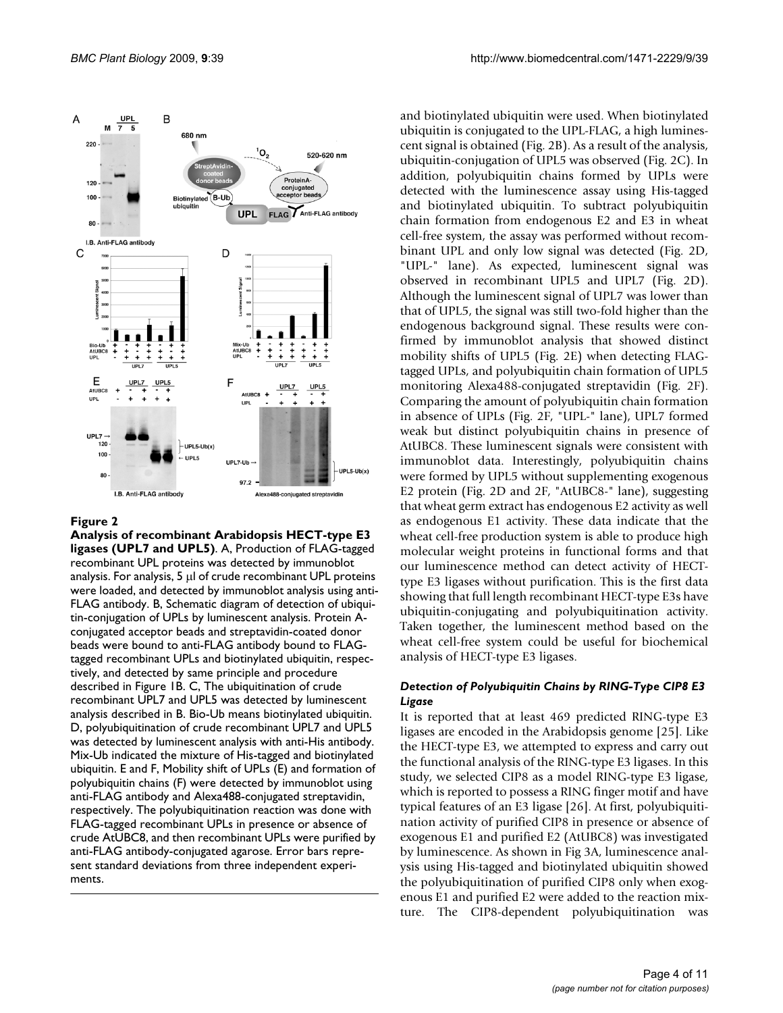

#### Figure 2

**Analysis of recombinant Arabidopsis HECT-type E3 ligases (UPL7 and UPL5)**. A, Production of FLAG-tagged recombinant UPL proteins was detected by immunoblot analysis. For analysis, 5 μl of crude recombinant UPL proteins were loaded, and detected by immunoblot analysis using anti-FLAG antibody. B, Schematic diagram of detection of ubiquitin-conjugation of UPLs by luminescent analysis. Protein Aconjugated acceptor beads and streptavidin-coated donor beads were bound to anti-FLAG antibody bound to FLAGtagged recombinant UPLs and biotinylated ubiquitin, respectively, and detected by same principle and procedure described in Figure 1B. C, The ubiquitination of crude recombinant UPL7 and UPL5 was detected by luminescent analysis described in B. Bio-Ub means biotinylated ubiquitin. D, polyubiquitination of crude recombinant UPL7 and UPL5 was detected by luminescent analysis with anti-His antibody. Mix-Ub indicated the mixture of His-tagged and biotinylated ubiquitin. E and F, Mobility shift of UPLs (E) and formation of polyubiquitin chains (F) were detected by immunoblot using anti-FLAG antibody and Alexa488-conjugated streptavidin, respectively. The polyubiquitination reaction was done with FLAG-tagged recombinant UPLs in presence or absence of crude AtUBC8, and then recombinant UPLs were purified by anti-FLAG antibody-conjugated agarose. Error bars represent standard deviations from three independent experiments.

and biotinylated ubiquitin were used. When biotinylated ubiquitin is conjugated to the UPL-FLAG, a high luminescent signal is obtained (Fig. 2B). As a result of the analysis, ubiquitin-conjugation of UPL5 was observed (Fig. 2C). In addition, polyubiquitin chains formed by UPLs were detected with the luminescence assay using His-tagged and biotinylated ubiquitin. To subtract polyubiquitin chain formation from endogenous E2 and E3 in wheat cell-free system, the assay was performed without recombinant UPL and only low signal was detected (Fig. 2D, "UPL-" lane). As expected, luminescent signal was observed in recombinant UPL5 and UPL7 (Fig. 2D). Although the luminescent signal of UPL7 was lower than that of UPL5, the signal was still two-fold higher than the endogenous background signal. These results were confirmed by immunoblot analysis that showed distinct mobility shifts of UPL5 (Fig. 2E) when detecting FLAGtagged UPLs, and polyubiquitin chain formation of UPL5 monitoring Alexa488-conjugated streptavidin (Fig. 2F). Comparing the amount of polyubiquitin chain formation in absence of UPLs (Fig. 2F, "UPL-" lane), UPL7 formed weak but distinct polyubiquitin chains in presence of AtUBC8. These luminescent signals were consistent with immunoblot data. Interestingly, polyubiquitin chains were formed by UPL5 without supplementing exogenous E2 protein (Fig. 2D and 2F, "AtUBC8-" lane), suggesting that wheat germ extract has endogenous E2 activity as well as endogenous E1 activity. These data indicate that the wheat cell-free production system is able to produce high molecular weight proteins in functional forms and that our luminescence method can detect activity of HECTtype E3 ligases without purification. This is the first data showing that full length recombinant HECT-type E3s have ubiquitin-conjugating and polyubiquitination activity. Taken together, the luminescent method based on the wheat cell-free system could be useful for biochemical analysis of HECT-type E3 ligases.

#### *Detection of Polyubiquitin Chains by RING-Type CIP8 E3 Ligase*

It is reported that at least 469 predicted RING-type E3 ligases are encoded in the Arabidopsis genome [25]. Like the HECT-type E3, we attempted to express and carry out the functional analysis of the RING-type E3 ligases. In this study, we selected CIP8 as a model RING-type E3 ligase, which is reported to possess a RING finger motif and have typical features of an E3 ligase [26]. At first, polyubiquitination activity of purified CIP8 in presence or absence of exogenous E1 and purified E2 (AtUBC8) was investigated by luminescence. As shown in Fig 3A, luminescence analysis using His-tagged and biotinylated ubiquitin showed the polyubiquitination of purified CIP8 only when exogenous E1 and purified E2 were added to the reaction mixture. The CIP8-dependent polyubiquitination was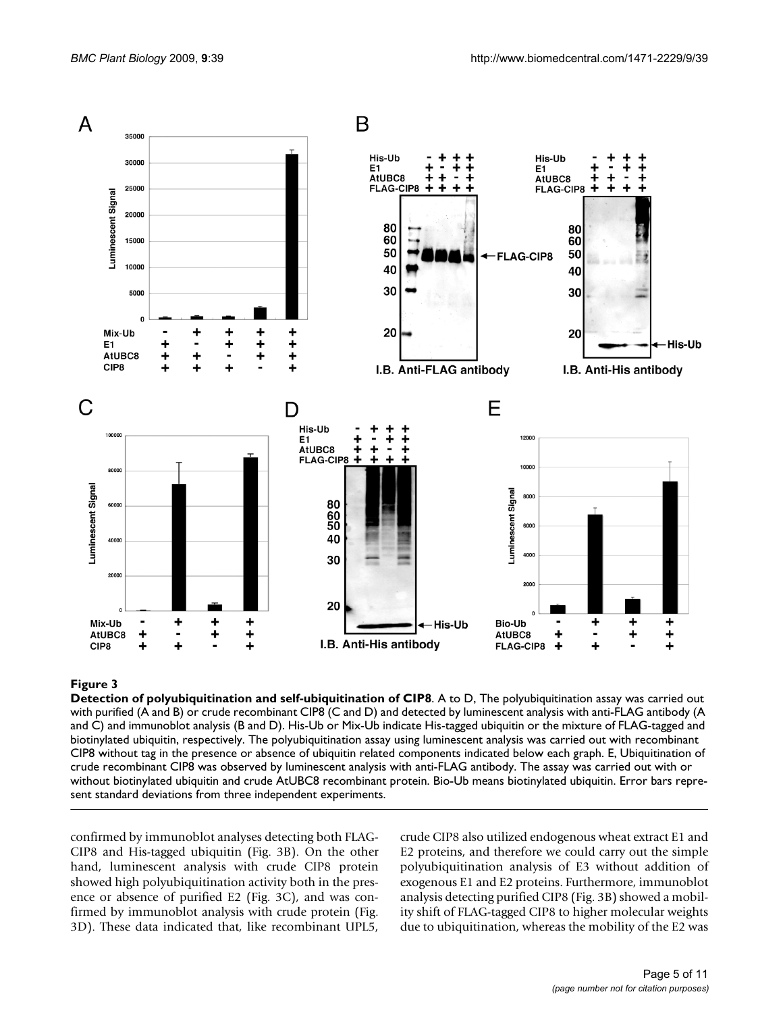

#### **Figure 3**

**Detection of polyubiquitination and self-ubiquitination of CIP8**. A to D, The polyubiquitination assay was carried out with purified (A and B) or crude recombinant CIP8 (C and D) and detected by luminescent analysis with anti-FLAG antibody (A and C) and immunoblot analysis (B and D). His-Ub or Mix-Ub indicate His-tagged ubiquitin or the mixture of FLAG-tagged and biotinylated ubiquitin, respectively. The polyubiquitination assay using luminescent analysis was carried out with recombinant CIP8 without tag in the presence or absence of ubiquitin related components indicated below each graph. E, Ubiquitination of crude recombinant CIP8 was observed by luminescent analysis with anti-FLAG antibody. The assay was carried out with or without biotinylated ubiquitin and crude AtUBC8 recombinant protein. Bio-Ub means biotinylated ubiquitin. Error bars represent standard deviations from three independent experiments.

confirmed by immunoblot analyses detecting both FLAG-CIP8 and His-tagged ubiquitin (Fig. 3B). On the other hand, luminescent analysis with crude CIP8 protein showed high polyubiquitination activity both in the presence or absence of purified E2 (Fig. 3C), and was confirmed by immunoblot analysis with crude protein (Fig. 3D). These data indicated that, like recombinant UPL5,

crude CIP8 also utilized endogenous wheat extract E1 and E2 proteins, and therefore we could carry out the simple polyubiquitination analysis of E3 without addition of exogenous E1 and E2 proteins. Furthermore, immunoblot analysis detecting purified CIP8 (Fig. 3B) showed a mobility shift of FLAG-tagged CIP8 to higher molecular weights due to ubiquitination, whereas the mobility of the E2 was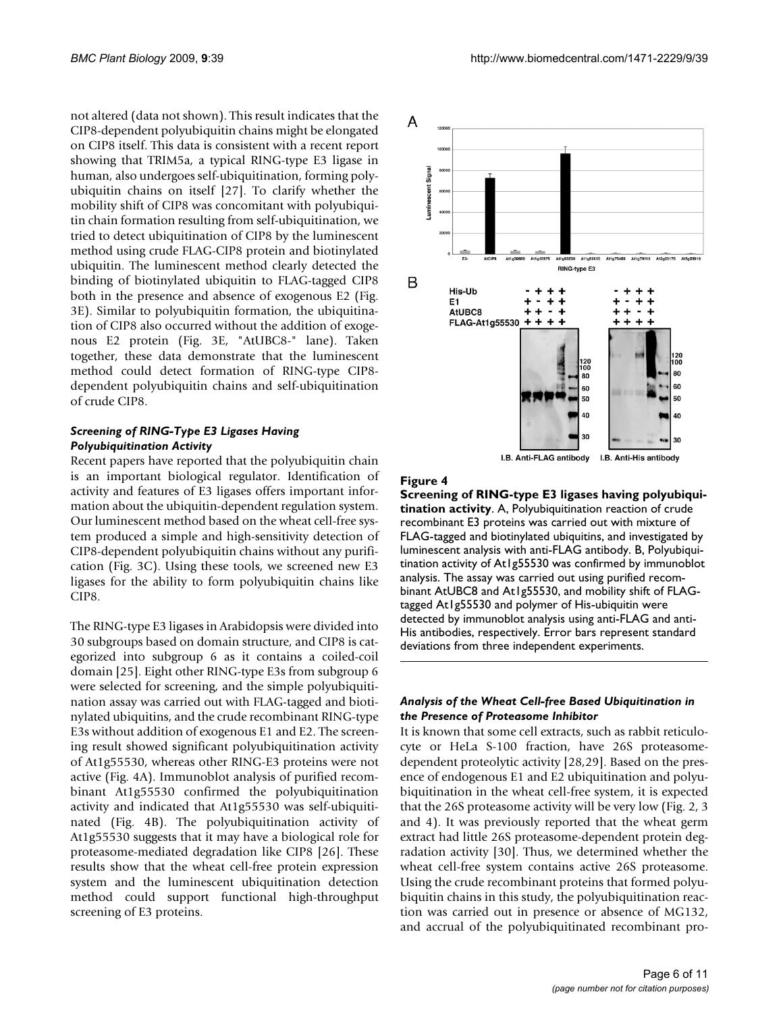not altered (data not shown). This result indicates that the CIP8-dependent polyubiquitin chains might be elongated on CIP8 itself. This data is consistent with a recent report showing that TRIM5a, a typical RING-type E3 ligase in human, also undergoes self-ubiquitination, forming polyubiquitin chains on itself [27]. To clarify whether the mobility shift of CIP8 was concomitant with polyubiquitin chain formation resulting from self-ubiquitination, we tried to detect ubiquitination of CIP8 by the luminescent method using crude FLAG-CIP8 protein and biotinylated ubiquitin. The luminescent method clearly detected the binding of biotinylated ubiquitin to FLAG-tagged CIP8 both in the presence and absence of exogenous E2 (Fig. 3E). Similar to polyubiquitin formation, the ubiquitination of CIP8 also occurred without the addition of exogenous E2 protein (Fig. 3E, "AtUBC8-" lane). Taken together, these data demonstrate that the luminescent method could detect formation of RING-type CIP8 dependent polyubiquitin chains and self-ubiquitination of crude CIP8.

#### *Screening of RING-Type E3 Ligases Having Polyubiquitination Activity*

Recent papers have reported that the polyubiquitin chain is an important biological regulator. Identification of activity and features of E3 ligases offers important information about the ubiquitin-dependent regulation system. Our luminescent method based on the wheat cell-free system produced a simple and high-sensitivity detection of CIP8-dependent polyubiquitin chains without any purification (Fig. 3C). Using these tools, we screened new E3 ligases for the ability to form polyubiquitin chains like CIP8.

The RING-type E3 ligases in Arabidopsis were divided into 30 subgroups based on domain structure, and CIP8 is categorized into subgroup 6 as it contains a coiled-coil domain [25]. Eight other RING-type E3s from subgroup 6 were selected for screening, and the simple polyubiquitination assay was carried out with FLAG-tagged and biotinylated ubiquitins, and the crude recombinant RING-type E3s without addition of exogenous E1 and E2. The screening result showed significant polyubiquitination activity of At1g55530, whereas other RING-E3 proteins were not active (Fig. 4A). Immunoblot analysis of purified recombinant At1g55530 confirmed the polyubiquitination activity and indicated that At1g55530 was self-ubiquitinated (Fig. 4B). The polyubiquitination activity of At1g55530 suggests that it may have a biological role for proteasome-mediated degradation like CIP8 [26]. These results show that the wheat cell-free protein expression system and the luminescent ubiquitination detection method could support functional high-throughput screening of E3 proteins.



#### **Figure 4**

**Screening of RING-type E3 ligases having polyubiquitination activity**. A, Polyubiquitination reaction of crude recombinant E3 proteins was carried out with mixture of FLAG-tagged and biotinylated ubiquitins, and investigated by luminescent analysis with anti-FLAG antibody. B, Polyubiquitination activity of At1g55530 was confirmed by immunoblot analysis. The assay was carried out using purified recombinant AtUBC8 and At1g55530, and mobility shift of FLAGtagged At1g55530 and polymer of His-ubiquitin were detected by immunoblot analysis using anti-FLAG and anti-His antibodies, respectively. Error bars represent standard deviations from three independent experiments.

#### *Analysis of the Wheat Cell-free Based Ubiquitination in the Presence of Proteasome Inhibitor*

It is known that some cell extracts, such as rabbit reticulocyte or HeLa S-100 fraction, have 26S proteasomedependent proteolytic activity [28,29]. Based on the presence of endogenous E1 and E2 ubiquitination and polyubiquitination in the wheat cell-free system, it is expected that the 26S proteasome activity will be very low (Fig. 2, 3 and 4). It was previously reported that the wheat germ extract had little 26S proteasome-dependent protein degradation activity [30]. Thus, we determined whether the wheat cell-free system contains active 26S proteasome. Using the crude recombinant proteins that formed polyubiquitin chains in this study, the polyubiquitination reaction was carried out in presence or absence of MG132, and accrual of the polyubiquitinated recombinant pro-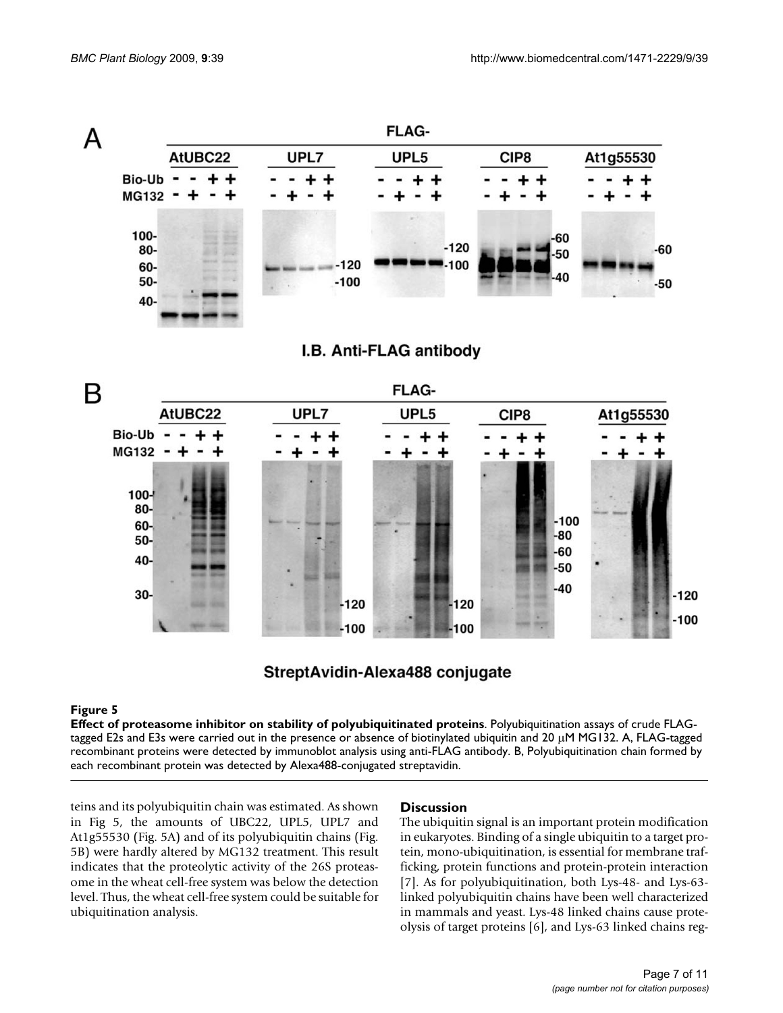

# I.B. Anti-FLAG antibody



# StreptAvidin-Alexa488 conjugate

#### Figure 5

**Effect of proteasome inhibitor on stability of polyubiquitinated proteins**. Polyubiquitination assays of crude FLAGtagged E2s and E3s were carried out in the presence or absence of biotinylated ubiquitin and 20 μM MG132. A, FLAG-tagged recombinant proteins were detected by immunoblot analysis using anti-FLAG antibody. B, Polyubiquitination chain formed by each recombinant protein was detected by Alexa488-conjugated streptavidin.

teins and its polyubiquitin chain was estimated. As shown in Fig 5, the amounts of UBC22, UPL5, UPL7 and At1g55530 (Fig. 5A) and of its polyubiquitin chains (Fig. 5B) were hardly altered by MG132 treatment. This result indicates that the proteolytic activity of the 26S proteasome in the wheat cell-free system was below the detection level. Thus, the wheat cell-free system could be suitable for ubiquitination analysis.

#### **Discussion**

The ubiquitin signal is an important protein modification in eukaryotes. Binding of a single ubiquitin to a target protein, mono-ubiquitination, is essential for membrane trafficking, protein functions and protein-protein interaction [7]. As for polyubiquitination, both Lys-48- and Lys-63 linked polyubiquitin chains have been well characterized in mammals and yeast. Lys-48 linked chains cause proteolysis of target proteins [6], and Lys-63 linked chains reg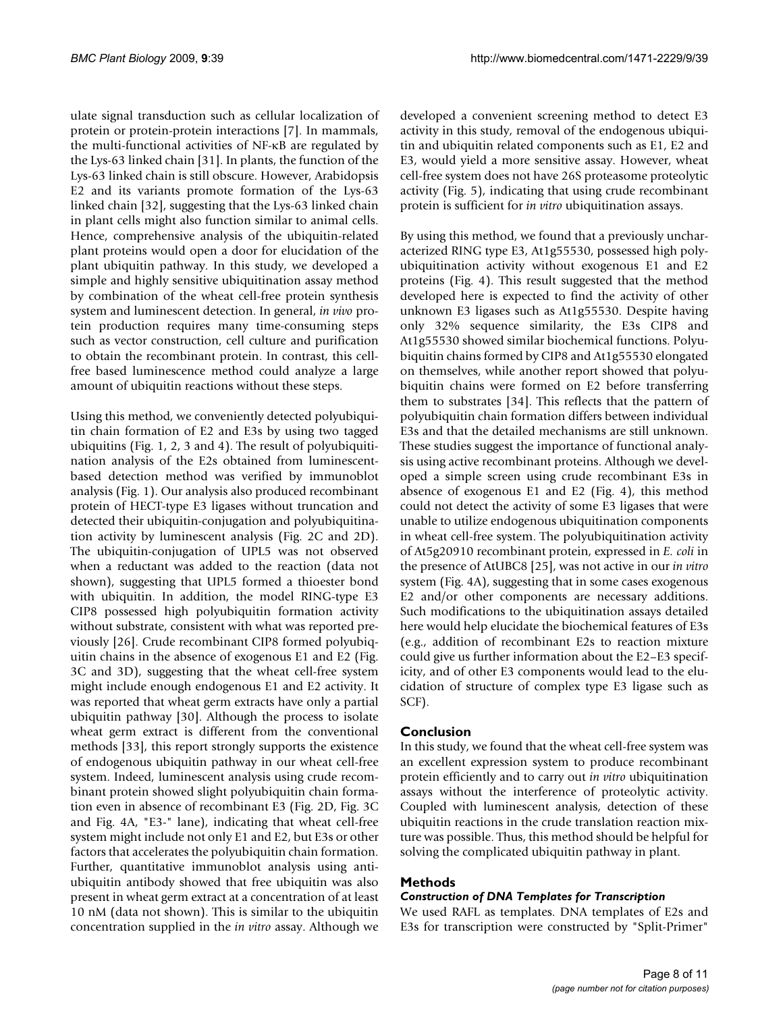ulate signal transduction such as cellular localization of protein or protein-protein interactions [7]. In mammals, the multi-functional activities of NF-κB are regulated by the Lys-63 linked chain [31]. In plants, the function of the Lys-63 linked chain is still obscure. However, Arabidopsis E2 and its variants promote formation of the Lys-63 linked chain [32], suggesting that the Lys-63 linked chain in plant cells might also function similar to animal cells. Hence, comprehensive analysis of the ubiquitin-related plant proteins would open a door for elucidation of the plant ubiquitin pathway. In this study, we developed a simple and highly sensitive ubiquitination assay method by combination of the wheat cell-free protein synthesis system and luminescent detection. In general, *in vivo* protein production requires many time-consuming steps such as vector construction, cell culture and purification to obtain the recombinant protein. In contrast, this cellfree based luminescence method could analyze a large amount of ubiquitin reactions without these steps.

Using this method, we conveniently detected polyubiquitin chain formation of E2 and E3s by using two tagged ubiquitins (Fig. 1, 2, 3 and 4). The result of polyubiquitination analysis of the E2s obtained from luminescentbased detection method was verified by immunoblot analysis (Fig. 1). Our analysis also produced recombinant protein of HECT-type E3 ligases without truncation and detected their ubiquitin-conjugation and polyubiquitination activity by luminescent analysis (Fig. 2C and 2D). The ubiquitin-conjugation of UPL5 was not observed when a reductant was added to the reaction (data not shown), suggesting that UPL5 formed a thioester bond with ubiquitin. In addition, the model RING-type E3 CIP8 possessed high polyubiquitin formation activity without substrate, consistent with what was reported previously [26]. Crude recombinant CIP8 formed polyubiquitin chains in the absence of exogenous E1 and E2 (Fig. 3C and 3D), suggesting that the wheat cell-free system might include enough endogenous E1 and E2 activity. It was reported that wheat germ extracts have only a partial ubiquitin pathway [30]. Although the process to isolate wheat germ extract is different from the conventional methods [33], this report strongly supports the existence of endogenous ubiquitin pathway in our wheat cell-free system. Indeed, luminescent analysis using crude recombinant protein showed slight polyubiquitin chain formation even in absence of recombinant E3 (Fig. 2D, Fig. 3C and Fig. 4A, "E3-" lane), indicating that wheat cell-free system might include not only E1 and E2, but E3s or other factors that accelerates the polyubiquitin chain formation. Further, quantitative immunoblot analysis using antiubiquitin antibody showed that free ubiquitin was also present in wheat germ extract at a concentration of at least 10 nM (data not shown). This is similar to the ubiquitin concentration supplied in the *in vitro* assay. Although we

developed a convenient screening method to detect E3 activity in this study, removal of the endogenous ubiquitin and ubiquitin related components such as E1, E2 and E3, would yield a more sensitive assay. However, wheat cell-free system does not have 26S proteasome proteolytic activity (Fig. 5), indicating that using crude recombinant protein is sufficient for *in vitro* ubiquitination assays.

By using this method, we found that a previously uncharacterized RING type E3, At1g55530, possessed high polyubiquitination activity without exogenous E1 and E2 proteins (Fig. 4). This result suggested that the method developed here is expected to find the activity of other unknown E3 ligases such as At1g55530. Despite having only 32% sequence similarity, the E3s CIP8 and At1g55530 showed similar biochemical functions. Polyubiquitin chains formed by CIP8 and At1g55530 elongated on themselves, while another report showed that polyubiquitin chains were formed on E2 before transferring them to substrates [34]. This reflects that the pattern of polyubiquitin chain formation differs between individual E3s and that the detailed mechanisms are still unknown. These studies suggest the importance of functional analysis using active recombinant proteins. Although we developed a simple screen using crude recombinant E3s in absence of exogenous E1 and E2 (Fig. 4), this method could not detect the activity of some E3 ligases that were unable to utilize endogenous ubiquitination components in wheat cell-free system. The polyubiquitination activity of At5g20910 recombinant protein, expressed in *E. coli* in the presence of AtUBC8 [25], was not active in our *in vitro* system (Fig. 4A), suggesting that in some cases exogenous E2 and/or other components are necessary additions. Such modifications to the ubiquitination assays detailed here would help elucidate the biochemical features of E3s (e.g., addition of recombinant E2s to reaction mixture could give us further information about the E2–E3 specificity, and of other E3 components would lead to the elucidation of structure of complex type E3 ligase such as SCF).

#### **Conclusion**

In this study, we found that the wheat cell-free system was an excellent expression system to produce recombinant protein efficiently and to carry out *in vitro* ubiquitination assays without the interference of proteolytic activity. Coupled with luminescent analysis, detection of these ubiquitin reactions in the crude translation reaction mixture was possible. Thus, this method should be helpful for solving the complicated ubiquitin pathway in plant.

#### **Methods**

#### *Construction of DNA Templates for Transcription*

We used RAFL as templates. DNA templates of E2s and E3s for transcription were constructed by "Split-Primer"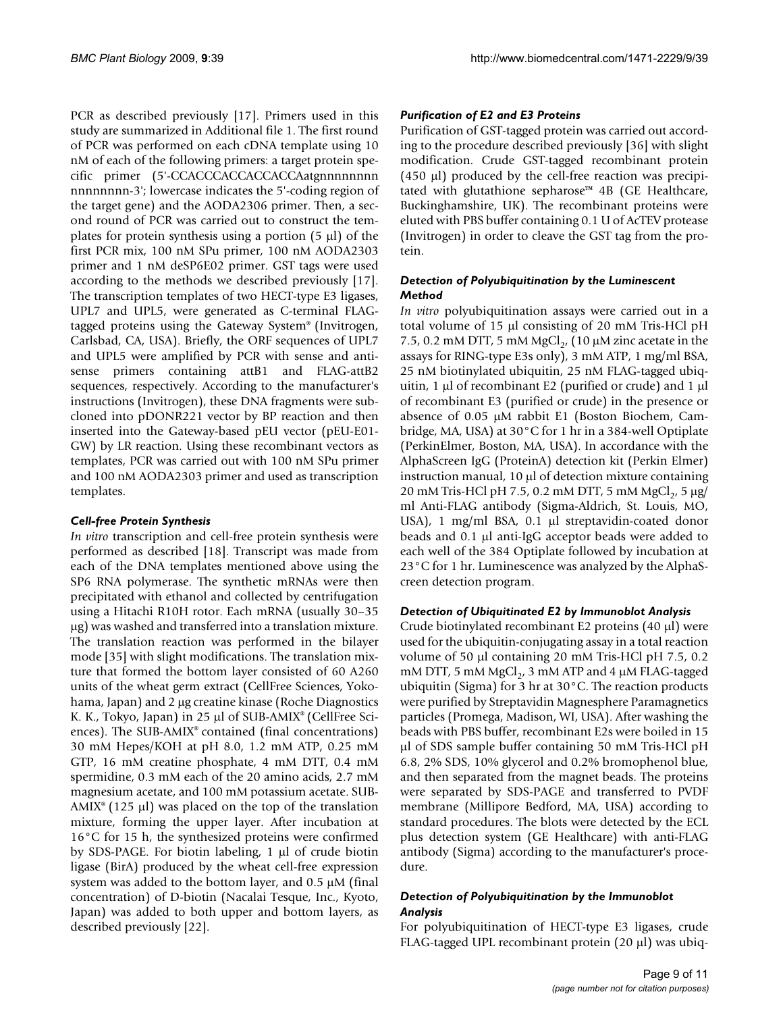PCR as described previously [17]. Primers used in this study are summarized in Additional file 1. The first round of PCR was performed on each cDNA template using 10 nM of each of the following primers: a target protein specific primer (5'-CCACCCACCACCACCAatgnnnnnnnn nnnnnnnn-3'; lowercase indicates the 5'-coding region of the target gene) and the AODA2306 primer. Then, a second round of PCR was carried out to construct the templates for protein synthesis using a portion (5 μl) of the first PCR mix, 100 nM SPu primer, 100 nM AODA2303 primer and 1 nM deSP6E02 primer. GST tags were used according to the methods we described previously [17]. The transcription templates of two HECT-type E3 ligases, UPL7 and UPL5, were generated as C-terminal FLAGtagged proteins using the Gateway System® (Invitrogen, Carlsbad, CA, USA). Briefly, the ORF sequences of UPL7 and UPL5 were amplified by PCR with sense and antisense primers containing attB1 and FLAG-attB2 sequences, respectively. According to the manufacturer's instructions (Invitrogen), these DNA fragments were subcloned into pDONR221 vector by BP reaction and then inserted into the Gateway-based pEU vector (pEU-E01- GW) by LR reaction. Using these recombinant vectors as templates, PCR was carried out with 100 nM SPu primer and 100 nM AODA2303 primer and used as transcription templates.

#### *Cell-free Protein Synthesis*

*In vitro* transcription and cell-free protein synthesis were performed as described [18]. Transcript was made from each of the DNA templates mentioned above using the SP6 RNA polymerase. The synthetic mRNAs were then precipitated with ethanol and collected by centrifugation using a Hitachi R10H rotor. Each mRNA (usually 30–35 μg) was washed and transferred into a translation mixture. The translation reaction was performed in the bilayer mode [35] with slight modifications. The translation mixture that formed the bottom layer consisted of 60 A260 units of the wheat germ extract (CellFree Sciences, Yokohama, Japan) and 2 μg creatine kinase (Roche Diagnostics K. K., Tokyo, Japan) in 25 μl of SUB-AMIX® (CellFree Sciences). The SUB-AMIX® contained (final concentrations) 30 mM Hepes/KOH at pH 8.0, 1.2 mM ATP, 0.25 mM GTP, 16 mM creatine phosphate, 4 mM DTT, 0.4 mM spermidine, 0.3 mM each of the 20 amino acids, 2.7 mM magnesium acetate, and 100 mM potassium acetate. SUB- $AMIX^{\circ}$  (125 µl) was placed on the top of the translation mixture, forming the upper layer. After incubation at 16°C for 15 h, the synthesized proteins were confirmed by SDS-PAGE. For biotin labeling, 1 μl of crude biotin ligase (BirA) produced by the wheat cell-free expression system was added to the bottom layer, and 0.5 μM (final concentration) of D-biotin (Nacalai Tesque, Inc., Kyoto, Japan) was added to both upper and bottom layers, as described previously [22].

#### *Purification of E2 and E3 Proteins*

Purification of GST-tagged protein was carried out according to the procedure described previously [36] with slight modification. Crude GST-tagged recombinant protein (450 μl) produced by the cell-free reaction was precipitated with glutathione sepharose™ 4B (GE Healthcare, Buckinghamshire, UK). The recombinant proteins were eluted with PBS buffer containing 0.1 U of AcTEV protease (Invitrogen) in order to cleave the GST tag from the protein.

#### *Detection of Polyubiquitination by the Luminescent Method*

*In vitro* polyubiquitination assays were carried out in a total volume of 15 μl consisting of 20 mM Tris-HCl pH 7.5, 0.2 mM DTT, 5 mM  $MgCl<sub>2</sub>$ , (10  $\mu$ M zinc acetate in the assays for RING-type E3s only), 3 mM ATP, 1 mg/ml BSA, 25 nM biotinylated ubiquitin, 25 nM FLAG-tagged ubiquitin, 1 μl of recombinant E2 (purified or crude) and 1 μl of recombinant E3 (purified or crude) in the presence or absence of 0.05 μM rabbit E1 (Boston Biochem, Cambridge, MA, USA) at 30°C for 1 hr in a 384-well Optiplate (PerkinElmer, Boston, MA, USA). In accordance with the AlphaScreen IgG (ProteinA) detection kit (Perkin Elmer) instruction manual, 10 μl of detection mixture containing 20 mM Tris-HCl pH 7.5, 0.2 mM DTT, 5 mM MgCl<sub>2</sub>, 5 μg/ ml Anti-FLAG antibody (Sigma-Aldrich, St. Louis, MO, USA), 1 mg/ml BSA, 0.1 μl streptavidin-coated donor beads and 0.1 μl anti-IgG acceptor beads were added to each well of the 384 Optiplate followed by incubation at 23°C for 1 hr. Luminescence was analyzed by the AlphaScreen detection program.

#### *Detection of Ubiquitinated E2 by Immunoblot Analysis*

Crude biotinylated recombinant E2 proteins (40 μl) were used for the ubiquitin-conjugating assay in a total reaction volume of 50 μl containing 20 mM Tris-HCl pH 7.5, 0.2 mM DTT, 5 mM  $MgCl<sub>2</sub>$ , 3 mM ATP and 4 μM FLAG-tagged ubiquitin (Sigma) for 3 hr at 30°C. The reaction products were purified by Streptavidin Magnesphere Paramagnetics particles (Promega, Madison, WI, USA). After washing the beads with PBS buffer, recombinant E2s were boiled in 15 μl of SDS sample buffer containing 50 mM Tris-HCl pH 6.8, 2% SDS, 10% glycerol and 0.2% bromophenol blue, and then separated from the magnet beads. The proteins were separated by SDS-PAGE and transferred to PVDF membrane (Millipore Bedford, MA, USA) according to standard procedures. The blots were detected by the ECL plus detection system (GE Healthcare) with anti-FLAG antibody (Sigma) according to the manufacturer's procedure.

#### *Detection of Polyubiquitination by the Immunoblot Analysis*

For polyubiquitination of HECT-type E3 ligases, crude FLAG-tagged UPL recombinant protein (20 μl) was ubiq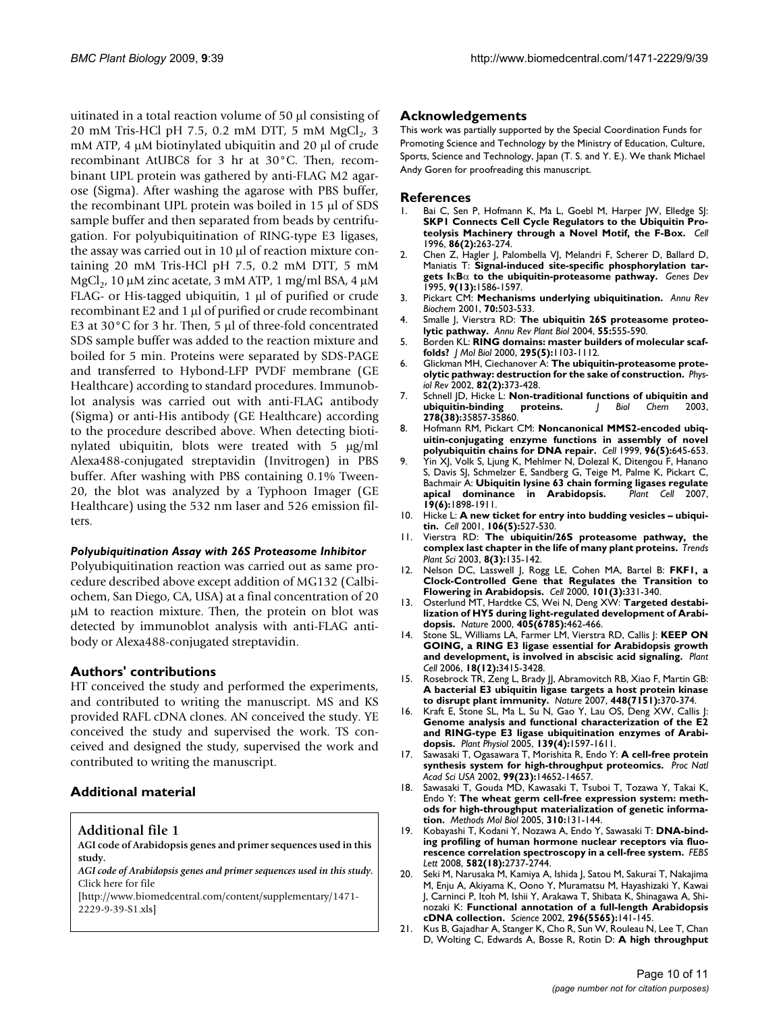uitinated in a total reaction volume of 50 μl consisting of 20 mM Tris-HCl pH 7.5, 0.2 mM DTT, 5 mM  $MgCl<sub>2</sub>$ , 3 mM ATP, 4 μM biotinylated ubiquitin and 20 μl of crude recombinant AtUBC8 for 3 hr at 30°C. Then, recombinant UPL protein was gathered by anti-FLAG M2 agarose (Sigma). After washing the agarose with PBS buffer, the recombinant UPL protein was boiled in 15 μl of SDS sample buffer and then separated from beads by centrifugation. For polyubiquitination of RING-type E3 ligases, the assay was carried out in 10 μl of reaction mixture containing 20 mM Tris-HCl pH 7.5, 0.2 mM DTT, 5 mM MgCl<sub>2</sub>, 10 μM zinc acetate, 3 mM ATP, 1 mg/ml BSA, 4 μM FLAG- or His-tagged ubiquitin, 1 μl of purified or crude recombinant E2 and 1 μl of purified or crude recombinant E3 at 30°C for 3 hr. Then, 5 μl of three-fold concentrated SDS sample buffer was added to the reaction mixture and boiled for 5 min. Proteins were separated by SDS-PAGE and transferred to Hybond-LFP PVDF membrane (GE Healthcare) according to standard procedures. Immunoblot analysis was carried out with anti-FLAG antibody (Sigma) or anti-His antibody (GE Healthcare) according to the procedure described above. When detecting biotinylated ubiquitin, blots were treated with 5 μg/ml Alexa488-conjugated streptavidin (Invitrogen) in PBS buffer. After washing with PBS containing 0.1% Tween-20, the blot was analyzed by a Typhoon Imager (GE Healthcare) using the 532 nm laser and 526 emission filters.

#### *Polyubiquitination Assay with 26S Proteasome Inhibitor*

Polyubiquitination reaction was carried out as same procedure described above except addition of MG132 (Calbiochem, San Diego, CA, USA) at a final concentration of 20 μM to reaction mixture. Then, the protein on blot was detected by immunoblot analysis with anti-FLAG antibody or Alexa488-conjugated streptavidin.

#### **Authors' contributions**

HT conceived the study and performed the experiments, and contributed to writing the manuscript. MS and KS provided RAFL cDNA clones. AN conceived the study. YE conceived the study and supervised the work. TS conceived and designed the study, supervised the work and contributed to writing the manuscript.

#### **Additional material**

#### **Additional file 1**

**AGI code of Arabidopsis genes and primer sequences used in this study.**

*AGI code of Arabidopsis genes and primer sequences used in this study.* Click here for file

[\[http://www.biomedcentral.com/content/supplementary/1471-](http://www.biomedcentral.com/content/supplementary/1471-2229-9-39-S1.xls) 2229-9-39-S1.xls]

#### **Acknowledgements**

This work was partially supported by the Special Coordination Funds for Promoting Science and Technology by the Ministry of Education, Culture, Sports, Science and Technology, Japan (T. S. and Y. E.). We thank Michael Andy Goren for proofreading this manuscript.

#### **References**

- Bai C, Sen P, Hofmann K, Ma L, Goebl M, Harper JW, Elledge SJ: **[SKP1 Connects Cell Cycle Regulators to the Ubiquitin Pro](http://www.ncbi.nlm.nih.gov/entrez/query.fcgi?cmd=Retrieve&db=PubMed&dopt=Abstract&list_uids=8706131)[teolysis Machinery through a Novel Motif, the F-Box.](http://www.ncbi.nlm.nih.gov/entrez/query.fcgi?cmd=Retrieve&db=PubMed&dopt=Abstract&list_uids=8706131)** *Cell* 1996, **86(2):**263-274.
- 2. Chen Z, Hagler J, Palombella VJ, Melandri F, Scherer D, Ballard D, Maniatis T: **Signal-induced site-specific phosphorylation targets I**κ**B**α **[to the ubiquitin-proteasome pathway.](http://www.ncbi.nlm.nih.gov/entrez/query.fcgi?cmd=Retrieve&db=PubMed&dopt=Abstract&list_uids=7628694)** *Genes Dev* 1995, **9(13):**1586-1597.
- 3. Pickart CM: **[Mechanisms underlying ubiquitination.](http://www.ncbi.nlm.nih.gov/entrez/query.fcgi?cmd=Retrieve&db=PubMed&dopt=Abstract&list_uids=11395416)** *Annu Rev Biochem* 2001, **70:**503-533.
- 4. Smalle J, Vierstra RD: **[The ubiquitin 26S proteasome proteo](http://www.ncbi.nlm.nih.gov/entrez/query.fcgi?cmd=Retrieve&db=PubMed&dopt=Abstract&list_uids=15377232)[lytic pathway.](http://www.ncbi.nlm.nih.gov/entrez/query.fcgi?cmd=Retrieve&db=PubMed&dopt=Abstract&list_uids=15377232)** *Annu Rev Plant Biol* 2004, **55:**555-590.
- 5. Borden KL: **[RING domains: master builders of molecular scaf](http://www.ncbi.nlm.nih.gov/entrez/query.fcgi?cmd=Retrieve&db=PubMed&dopt=Abstract&list_uids=10653689)[folds?](http://www.ncbi.nlm.nih.gov/entrez/query.fcgi?cmd=Retrieve&db=PubMed&dopt=Abstract&list_uids=10653689)** *J Mol Biol* 2000, **295(5):**1103-1112.
- 6. Glickman MH, Ciechanover A: **[The ubiquitin-proteasome prote](http://www.ncbi.nlm.nih.gov/entrez/query.fcgi?cmd=Retrieve&db=PubMed&dopt=Abstract&list_uids=11917093)[olytic pathway: destruction for the sake of construction.](http://www.ncbi.nlm.nih.gov/entrez/query.fcgi?cmd=Retrieve&db=PubMed&dopt=Abstract&list_uids=11917093)** *Physiol Rev* 2002, **82(2):**373-428.
- 7. Schnell JD, Hicke L: **[Non-traditional functions of ubiquitin and](http://www.ncbi.nlm.nih.gov/entrez/query.fcgi?cmd=Retrieve&db=PubMed&dopt=Abstract&list_uids=12860974) [ubiquitin-binding proteins.](http://www.ncbi.nlm.nih.gov/entrez/query.fcgi?cmd=Retrieve&db=PubMed&dopt=Abstract&list_uids=12860974)** *J Biol Chem* 2003, **278(38):**35857-35860.
- 8. Hofmann RM, Pickart CM: **[Noncanonical MMS2-encoded ubiq](http://www.ncbi.nlm.nih.gov/entrez/query.fcgi?cmd=Retrieve&db=PubMed&dopt=Abstract&list_uids=10089880)[uitin-conjugating enzyme functions in assembly of novel](http://www.ncbi.nlm.nih.gov/entrez/query.fcgi?cmd=Retrieve&db=PubMed&dopt=Abstract&list_uids=10089880) [polyubiquitin chains for DNA repair.](http://www.ncbi.nlm.nih.gov/entrez/query.fcgi?cmd=Retrieve&db=PubMed&dopt=Abstract&list_uids=10089880)** *Cell* 1999, **96(5):**645-653.
- 9. Yin XJ, Volk S, Ljung K, Mehlmer N, Dolezal K, Ditengou F, Hanano S, Davis SJ, Schmelzer E, Sandberg G, Teige M, Palme K, Pickart C, Bachmair A: **[Ubiquitin lysine 63 chain forming ligases regulate](http://www.ncbi.nlm.nih.gov/entrez/query.fcgi?cmd=Retrieve&db=PubMed&dopt=Abstract&list_uids=17586653) [apical dominance in Arabidopsis.](http://www.ncbi.nlm.nih.gov/entrez/query.fcgi?cmd=Retrieve&db=PubMed&dopt=Abstract&list_uids=17586653)** *Plant Cell* 2007, **19(6):**1898-1911.
- 10. Hicke L: **[A new ticket for entry into budding vesicles ubiqui](http://www.ncbi.nlm.nih.gov/entrez/query.fcgi?cmd=Retrieve&db=PubMed&dopt=Abstract&list_uids=11551499)[tin.](http://www.ncbi.nlm.nih.gov/entrez/query.fcgi?cmd=Retrieve&db=PubMed&dopt=Abstract&list_uids=11551499)** *Cell* 2001, **106(5):**527-530.
- 11. Vierstra RD: **[The ubiquitin/26S proteasome pathway, the](http://www.ncbi.nlm.nih.gov/entrez/query.fcgi?cmd=Retrieve&db=PubMed&dopt=Abstract&list_uids=12663224) [complex last chapter in the life of many plant proteins.](http://www.ncbi.nlm.nih.gov/entrez/query.fcgi?cmd=Retrieve&db=PubMed&dopt=Abstract&list_uids=12663224)** *Trends Plant Sci* 2003, **8(3):**135-142.
- 12. Nelson DC, Lasswell J, Rogg LE, Cohen MA, Bartel B: **[FKF1, a](http://www.ncbi.nlm.nih.gov/entrez/query.fcgi?cmd=Retrieve&db=PubMed&dopt=Abstract&list_uids=10847687) [Clock-Controlled Gene that Regulates the Transition to](http://www.ncbi.nlm.nih.gov/entrez/query.fcgi?cmd=Retrieve&db=PubMed&dopt=Abstract&list_uids=10847687) [Flowering in Arabidopsis.](http://www.ncbi.nlm.nih.gov/entrez/query.fcgi?cmd=Retrieve&db=PubMed&dopt=Abstract&list_uids=10847687)** *Cell* 2000, **101(3):**331-340.
- 13. Osterlund MT, Hardtke CS, Wei N, Deng XW: **[Targeted destabi](http://www.ncbi.nlm.nih.gov/entrez/query.fcgi?cmd=Retrieve&db=PubMed&dopt=Abstract&list_uids=10839542)[lization of HY5 during light-regulated development of Arabi](http://www.ncbi.nlm.nih.gov/entrez/query.fcgi?cmd=Retrieve&db=PubMed&dopt=Abstract&list_uids=10839542)[dopsis.](http://www.ncbi.nlm.nih.gov/entrez/query.fcgi?cmd=Retrieve&db=PubMed&dopt=Abstract&list_uids=10839542)** *Nature* 2000, **405(6785):**462-466.
- 14. Stone SL, Williams LA, Farmer LM, Vierstra RD, Callis J: **[KEEP ON](http://www.ncbi.nlm.nih.gov/entrez/query.fcgi?cmd=Retrieve&db=PubMed&dopt=Abstract&list_uids=17194765) [GOING, a RING E3 ligase essential for Arabidopsis growth](http://www.ncbi.nlm.nih.gov/entrez/query.fcgi?cmd=Retrieve&db=PubMed&dopt=Abstract&list_uids=17194765) [and development, is involved in abscisic acid signaling.](http://www.ncbi.nlm.nih.gov/entrez/query.fcgi?cmd=Retrieve&db=PubMed&dopt=Abstract&list_uids=17194765)** *Plant Cell* 2006, **18(12):**3415-3428.
- 15. Rosebrock TR, Zeng L, Brady JJ, Abramovitch RB, Xiao F, Martin GB: **[A bacterial E3 ubiquitin ligase targets a host protein kinase](http://www.ncbi.nlm.nih.gov/entrez/query.fcgi?cmd=Retrieve&db=PubMed&dopt=Abstract&list_uids=17637671) [to disrupt plant immunity.](http://www.ncbi.nlm.nih.gov/entrez/query.fcgi?cmd=Retrieve&db=PubMed&dopt=Abstract&list_uids=17637671)** *Nature* 2007, **448(7151):**370-374.
- 16. Kraft E, Stone SL, Ma L, Su N, Gao Y, Lau OS, Deng XW, Callis J: **[Genome analysis and functional characterization of the E2](http://www.ncbi.nlm.nih.gov/entrez/query.fcgi?cmd=Retrieve&db=PubMed&dopt=Abstract&list_uids=16339806) and RING-type E3 ligase ubiquitination enzymes of Arabi[dopsis.](http://www.ncbi.nlm.nih.gov/entrez/query.fcgi?cmd=Retrieve&db=PubMed&dopt=Abstract&list_uids=16339806)** *Plant Physiol* 2005, **139(4):**1597-1611.
- 17. Sawasaki T, Ogasawara T, Morishita R, Endo Y: **[A cell-free protein](http://www.ncbi.nlm.nih.gov/entrez/query.fcgi?cmd=Retrieve&db=PubMed&dopt=Abstract&list_uids=12409616) [synthesis system for high-throughput proteomics.](http://www.ncbi.nlm.nih.gov/entrez/query.fcgi?cmd=Retrieve&db=PubMed&dopt=Abstract&list_uids=12409616)** *Proc Natl Acad Sci USA* 2002, **99(23):**14652-14657.
- 18. Sawasaki T, Gouda MD, Kawasaki T, Tsuboi T, Tozawa Y, Takai K, Endo Y: **[The wheat germ cell-free expression system: meth](http://www.ncbi.nlm.nih.gov/entrez/query.fcgi?cmd=Retrieve&db=PubMed&dopt=Abstract&list_uids=16350952)[ods for high-throughput materialization of genetic informa](http://www.ncbi.nlm.nih.gov/entrez/query.fcgi?cmd=Retrieve&db=PubMed&dopt=Abstract&list_uids=16350952)[tion.](http://www.ncbi.nlm.nih.gov/entrez/query.fcgi?cmd=Retrieve&db=PubMed&dopt=Abstract&list_uids=16350952)** *Methods Mol Biol* 2005, **310:**131-144.
- 19. Kobayashi T, Kodani Y, Nozawa A, Endo Y, Sawasaki T: **[DNA-bind](http://www.ncbi.nlm.nih.gov/entrez/query.fcgi?cmd=Retrieve&db=PubMed&dopt=Abstract&list_uids=18619963)[ing profiling of human hormone nuclear receptors via fluo](http://www.ncbi.nlm.nih.gov/entrez/query.fcgi?cmd=Retrieve&db=PubMed&dopt=Abstract&list_uids=18619963)[rescence correlation spectroscopy in a cell-free system.](http://www.ncbi.nlm.nih.gov/entrez/query.fcgi?cmd=Retrieve&db=PubMed&dopt=Abstract&list_uids=18619963)** *FEBS Lett* 2008, **582(18):**2737-2744.
- 20. Seki M, Narusaka M, Kamiya A, Ishida J, Satou M, Sakurai T, Nakajima M, Enju A, Akiyama K, Oono Y, Muramatsu M, Hayashizaki Y, Kawai J, Carninci P, Itoh M, Ishii Y, Arakawa T, Shibata K, Shinagawa A, Shinozaki K: **[Functional annotation of a full-length Arabidopsis](http://www.ncbi.nlm.nih.gov/entrez/query.fcgi?cmd=Retrieve&db=PubMed&dopt=Abstract&list_uids=11910074) [cDNA collection.](http://www.ncbi.nlm.nih.gov/entrez/query.fcgi?cmd=Retrieve&db=PubMed&dopt=Abstract&list_uids=11910074)** *Science* 2002, **296(5565):**141-145.
- 21. Kus B, Gajadhar A, Stanger K, Cho R, Sun W, Rouleau N, Lee T, Chan D, Wolting C, Edwards A, Bosse R, Rotin D: **[A high throughput](http://www.ncbi.nlm.nih.gov/entrez/query.fcgi?cmd=Retrieve&db=PubMed&dopt=Abstract&list_uids=15955809)**